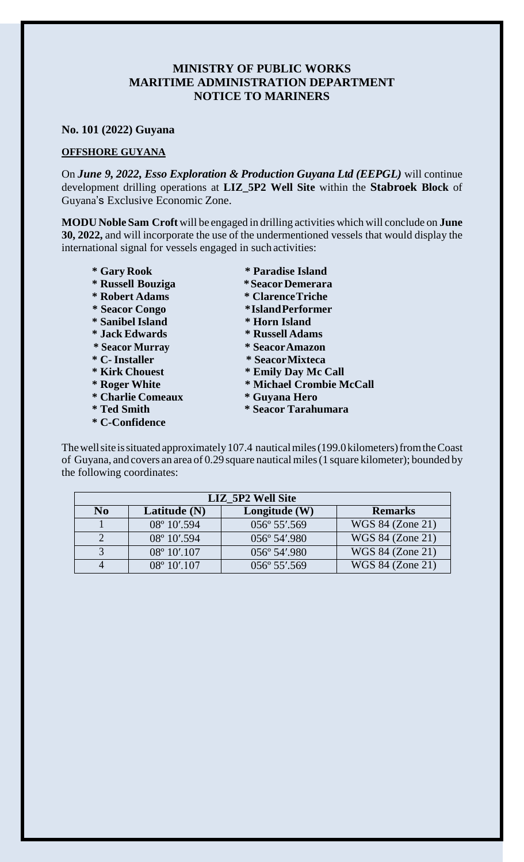## **MINISTRY OF PUBLIC WORKS MARITIME ADMINISTRATION DEPARTMENT NOTICE TO MARINERS**

## **No. 101 (2022) Guyana**

## **OFFSHORE GUYANA**

On *June 9, 2022, Esso Exploration & Production Guyana Ltd (EEPGL)* will continue development drilling operations at **LIZ\_5P2 Well Site** within the **Stabroek Block** of Guyana's Exclusive Economic Zone.

**MODU Noble Sam Croft** will be engaged in drilling activities which will conclude on **June 30, 2022,** and will incorporate the use of the undermentioned vessels that would display the international signal for vessels engaged in such activities:

- **\* Gary Rook \* Paradise Island \* Russell Bouziga \*SeacorDemerara \* Robert Adams \* ClarenceTriche \* Seacor Congo \*IslandPerformer \* Sanibel Island \* Horn Island \* Jack Edwards \* Russell Adams \* Seacor Murray \* SeacorAmazon \* C- Installer \* SeacorMixteca \* Kirk Chouest \* Emily Day Mc Call \* Charlie Comeaux \* Guyana Hero**
- 
- **\* C-Confidence**
- 
- 
- 
- 
- 
- 
- 
- 
- 
- **\* Roger White \* Michael Crombie McCall**
	-
- **\* Ted Smith \* Seacor Tarahumara**

The well site is situated approximately 107.4 nautical miles (199.0 kilometers) from the Coast of Guyana, and covers an area of 0.29 square nauticalmiles(1 square kilometer); bounded by the following coordinates:

| LIZ 5P2 Well Site |                        |                 |                  |
|-------------------|------------------------|-----------------|------------------|
| N <sub>0</sub>    | Latitude (N)           | Longitude $(W)$ | <b>Remarks</b>   |
|                   | 08° 10'.594            | 056° 55'.569    | WGS 84 (Zone 21) |
|                   | 08° 10'.594            | 056° 54'.980    | WGS 84 (Zone 21) |
|                   | $08^{\circ} 10'$ .107  | 056° 54'.980    | WGS 84 (Zone 21) |
|                   | $08^{\circ} 10'$ , 107 | 056° 55'.569    | WGS 84 (Zone 21) |